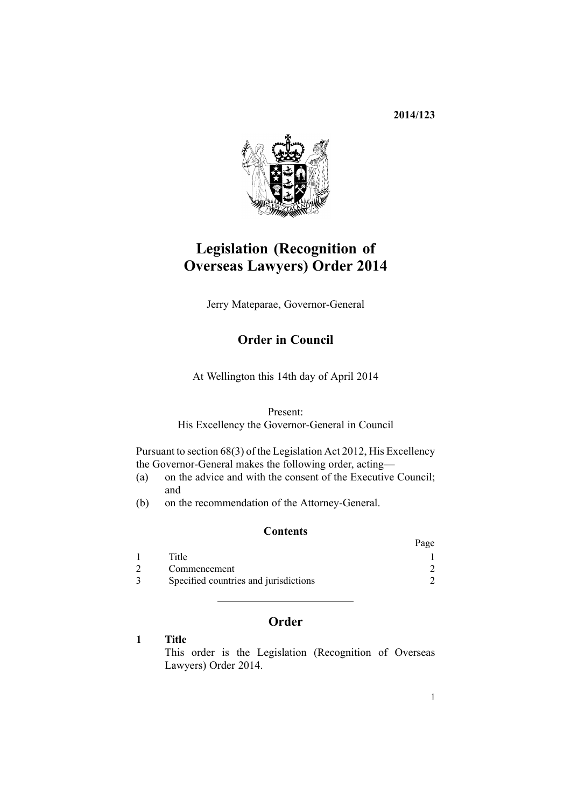**2014/123**



# **Legislation (Recognition of Overseas Lawyers) Order 2014**

Jerry Mateparae, Governor-General

# **Order in Council**

At Wellington this 14th day of April 2014

Present:

His Excellency the Governor-General in Council

Pursuant to [section](http://prd-lgnz-nlb.prd.pco.net.nz/pdflink.aspx?id=DLM3398206) 68(3) of the Legislation Act 2012, His Excellency the Governor-General makes the following order, acting—

- (a) on the advice and with the consent of the Executive Council; and
- (b) on the recommendation of the Attorney-General.

### **Contents**

|                                       | Page |
|---------------------------------------|------|
| Title                                 |      |
| Commencement                          |      |
| Specified countries and jurisdictions |      |

## **Order**

#### **1 Title**

This order is the Legislation (Recognition of Overseas Lawyers) Order 2014.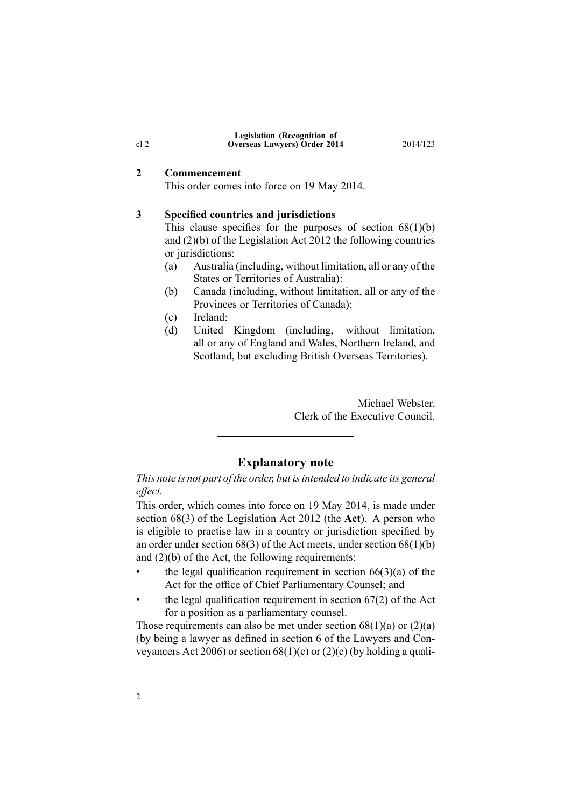| <b>Legislation (Recognition of</b>   |  |
|--------------------------------------|--|
| <b>Overseas Lawyers</b> ) Order 2014 |  |

#### **2 Commencement**

This order comes into force on 19 May 2014.

#### **3 Specified countries and jurisdictions**

This clause specifies for the purposes of section  $68(1)(b)$ and (2)(b) of the Legislation Act 2012 the following countries or jurisdictions:

- (a) Australia (including, without limitation, all or any of the States or Territories of Australia):
- (b) Canada (including, without limitation, all or any of the Provinces or Territories of Canada):

(c) Ireland:

(d) United Kingdom (including, without limitation, all or any of England and Wales, Northern Ireland, and Scotland, but excluding British Overseas Territories).

> Michael Webster, Clerk of the Executive Council.

#### **Explanatory note**

*This note is not par<sup>t</sup> of the order, but isintended to indicate its general effect.*

This order, which comes into force on 19 May 2014, is made under [section](http://prd-lgnz-nlb.prd.pco.net.nz/pdflink.aspx?id=DLM3398206) 68(3) of the Legislation Act 2012 (the **Act**). A person who is eligible to practise law in <sup>a</sup> country or jurisdiction specified by an order under section 68(3) of the Act meets, under section 68(1)(b) and  $(2)(b)$  of the Act, the following requirements:

- •the legal qualification requirement in section  $66(3)(a)$  of the Act for the office of Chief Parliamentary Counsel; and
- • the legal qualification requirement in [section](http://prd-lgnz-nlb.prd.pco.net.nz/pdflink.aspx?id=DLM2998623) 67(2) of the Act for <sup>a</sup> position as <sup>a</sup> parliamentary counsel.

Those requirements can also be met under section  $68(1)(a)$  or  $(2)(a)$ (by being <sup>a</sup> lawyer as defined in [section](http://prd-lgnz-nlb.prd.pco.net.nz/pdflink.aspx?id=DLM364948) 6 of the Lawyers and Conveyancers Act 2006) or section  $68(1)(c)$  or  $(2)(c)$  (by holding a quali-

<span id="page-1-0"></span>cl 2